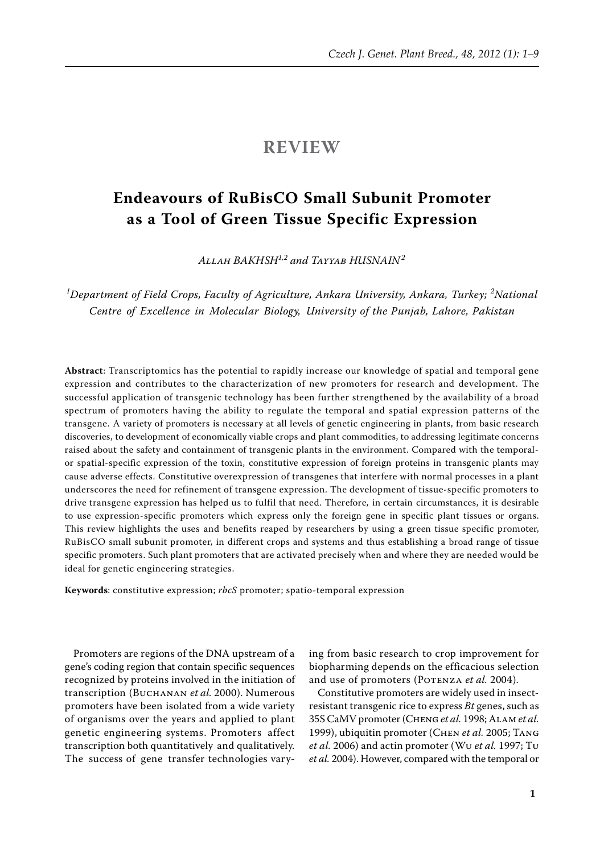# **REVIEW**

# **Endeavours of RuBisCO Small Subunit Promoter as a Tool of Green Tissue Specific Expression**

*Allah Bakhsh1,2 and Tayyab Husnain<sup>2</sup>*

 $^1$ Department of Field Crops, Faculty of Agriculture, Ankara University, Ankara, Turkey; <sup>2</sup>National *Centre of Excellence in Molecular Biology, University of the Punjab, Lahore, Pakistan*

**Abstract**: Transcriptomics has the potential to rapidly increase our knowledge of spatial and temporal gene expression and contributes to the characterization of new promoters for research and development. The successful application of transgenic technology has been further strengthened by the availability of a broad spectrum of promoters having the ability to regulate the temporal and spatial expression patterns of the transgene. A variety of promoters is necessary at all levels of genetic engineering in plants, from basic research discoveries, to development of economically viable crops and plant commodities, to addressing legitimate concerns raised about the safety and containment of transgenic plants in the environment. Compared with the temporalor spatial-specific expression of the toxin, constitutive expression of foreign proteins in transgenic plants may cause adverse effects. Constitutive overexpression of transgenes that interfere with normal processes in a plant underscores the need for refinement of transgene expression. The development of tissue-specific promoters to drive transgene expression has helped us to fulfil that need. Therefore, in certain circumstances, it is desirable to use expression-specific promoters which express only the foreign gene in specific plant tissues or organs. This review highlights the uses and benefits reaped by researchers by using a green tissue specific promoter, RuBisCO small subunit promoter, in different crops and systems and thus establishing a broad range of tissue specific promoters. Such plant promoters that are activated precisely when and where they are needed would be ideal for genetic engineering strategies.

**Keywords**: constitutive expression; *rbcS* promoter; spatio-temporal expression

Promoters are regions of the DNA upstream of a gene's coding region that contain specific sequences recognized by proteins involved in the initiation of transcription (Buchanan *et al.* 2000). Numerous promoters have been isolated from a wide variety of organisms over the years and applied to plant genetic engineering systems. Promoters affect transcription both quantitatively and qualitatively. The success of gene transfer technologies vary-

ing from basic research to crop improvement for biopharming depends on the efficacious selection and use of promoters (POTENZA et al. 2004).

Constitutive promoters are widely used in insectresistant transgenic rice to express *Bt* genes, such as 35S CaMV promoter (Cheng *et al.* 1998; Alam *et al.* 1999), ubiquitin promoter (Chen *et al.* 2005; Tang *et al.* 2006) and actin promoter (Wu *et al.* 1997; Tu *et al.* 2004). However, compared with the temporal or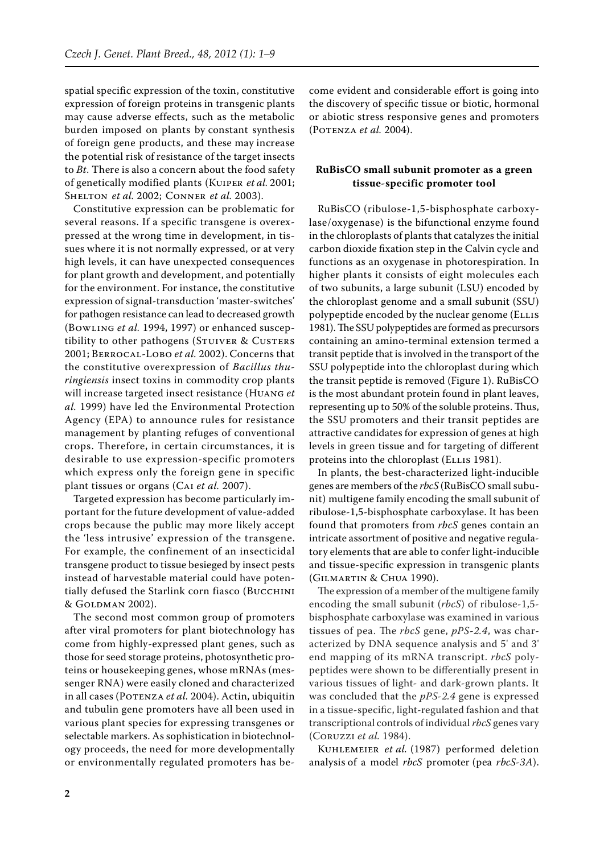spatial specific expression of the toxin, constitutive expression of foreign proteins in transgenic plants may cause adverse effects, such as the metabolic burden imposed on plants by constant synthesis of foreign gene products, and these may increase the potential risk of resistance of the target insects to *Bt*. There is also a concern about the food safety of genetically modified plants (Kuiper *et al.* 2001; Shelton *et al.* 2002; Conner *et al.* 2003).

Constitutive expression can be problematic for several reasons. If a specific transgene is overexpressed at the wrong time in development, in tissues where it is not normally expressed, or at very high levels, it can have unexpected consequences for plant growth and development, and potentially for the environment. For instance, the constitutive expression of signal-transduction 'master-switches' for pathogen resistance can lead to decreased growth (Bowling *et al.* 1994, 1997) or enhanced susceptibility to other pathogens (STUIVER & CUSTERS 2001; Berrocal-Lobo *et al.* 2002). Concerns that the constitutive overexpression of *Bacillus thuringiensis* insect toxins in commodity crop plants will increase targeted insect resistance (Huang *et al.* 1999) have led the Environmental Protection Agency (EPA) to announce rules for resistance management by planting refuges of conventional crops. Therefore, in certain circumstances, it is desirable to use expression-specific promoters which express only the foreign gene in specific plant tissues or organs (Cai *et al.* 2007).

Targeted expression has become particularly important for the future development of value-added crops because the public may more likely accept the 'less intrusive' expression of the transgene. For example, the confinement of an insecticidal transgene product to tissue besieged by insect pests instead of harvestable material could have potentially defused the Starlink corn fiasco (BUCCHINI & Goldman 2002).

The second most common group of promoters after viral promoters for plant biotechnology has come from highly-expressed plant genes, such as those for seed storage proteins, photosynthetic proteins or housekeeping genes, whose mRNAs (messenger RNA) were easily cloned and characterized in all cases (POTENZA *et al.* 2004). Actin, ubiquitin and tubulin gene promoters have all been used in various plant species for expressing transgenes or selectable markers. As sophistication in biotechnology proceeds, the need for more developmentally or environmentally regulated promoters has become evident and considerable effort is going into the discovery of specific tissue or biotic, hormonal or abiotic stress responsive genes and promoters (Potenza *et al.* 2004).

## **RuBisCO small subunit promoter as a green tissue-specific promoter tool**

RuBisCO (ribulose-1,5-bisphosphate carboxylase/oxygenase) is the bifunctional enzyme found in the chloroplasts of plants that catalyzes the initial carbon dioxide fixation step in the Calvin cycle and functions as an oxygenase in photorespiration. In higher plants it consists of eight molecules each of two subunits, a large subunit (LSU) encoded by the chloroplast genome and a small subunit (SSU) polypeptide encoded by the nuclear genome (ELLIS 1981). The SSU polypeptides are formed as precursors containing an amino-terminal extension termed a transit peptide that is involved in the transport of the SSU polypeptide into the chloroplast during which the transit peptide is removed (Figure 1). RuBisCO is the most abundant protein found in plant leaves, representing up to 50% of the soluble proteins. Thus, the SSU promoters and their transit peptides are attractive candidates for expression of genes at high levels in green tissue and for targeting of different proteins into the chloroplast (ELLIS 1981).

In plants, the best-characterized light-inducible genes are members of the *rbcS* (RuBisCO small subunit) multigene family encoding the small subunit of ribulose-1,5-bisphosphate carboxylase. It has been found that promoters from *rbcS* genes contain an intricate assortment of positive and negative regulatory elements that are able to confer light-inducible and tissue-specific expression in transgenic plants (Gilmartin & Chua 1990).

The expression of a member of the multigene family encoding the small subunit (*rbcS*) of ribulose-1,5 bisphosphate carboxylase was examined in various tissues of pea. The *rbcS* gene, *pPS-2.4*, was characterized by DNA sequence analysis and 5' and 3' end mapping of its mRNA transcript. *rbcS* polypeptides were shown to be differentially present in various tissues of light- and dark-grown plants. It was concluded that the *pPS-2.4* gene is expressed in a tissue-specific, light-regulated fashion and that transcriptional controls of individual *rbcS* genes vary (Coruzzi *et al.* 1984).

Kuhlemeier *et al.* (1987) performed deletion analysis of a model *rbcS* promoter (pea *rbcS-3A*).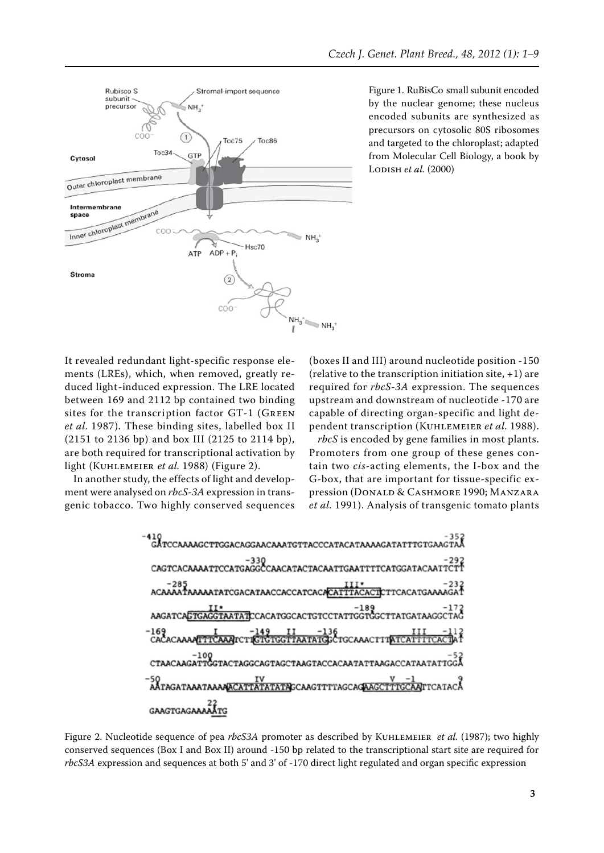

Figure 1. RuBisCo small subunit encoded by the nuclear genome; these nucleus encoded subunits are synthesized as precursors on cytosolic 80S ribosomes and targeted to the chloroplast; adapted from Molecular Cell Biology, a book by Lodish *et al.* (2000)

It revealed redundant light-specific response elements (LREs), which, when removed, greatly reduced light-induced expression. The LRE located between 169 and 2112 bp contained two binding sites for the transcription factor GT-1 (Green *et al.* 1987). These binding sites, labelled box II (2151 to 2136 bp) and box III (2125 to 2114 bp), are both required for transcriptional activation by light (Kuhlemeier *et al.* 1988) (Figure 2).

In another study, the effects of light and development were analysed on *rbcS-3A* expression in transgenic tobacco. Two highly conserved sequences (boxes II and III) around nucleotide position -150 (relative to the transcription initiation site, +1) are required for *rbcS-3A* expression. The sequences upstream and downstream of nucleotide -170 are capable of directing organ-specific and light dependent transcription (Kuhlemeier *et al.* 1988).

*rbcS* is encoded by gene families in most plants. Promoters from one group of these genes contain two *cis-*acting elements, the I-box and the G-box, that are important for tissue-specific expression (Donald & Cashmore 1990; Manzara *et al.* 1991). Analysis of transgenic tomato plants



Figure 2. Nucleotide sequence of pea *rbcS3A* promoter as described by Kuhlemeier *et al.* (1987); two highly conserved sequences (Box I and Box II) around -150 bp related to the transcriptional start site are required for *rbcS3A* expression and sequences at both 5' and 3' of -170 direct light regulated and organ specific expression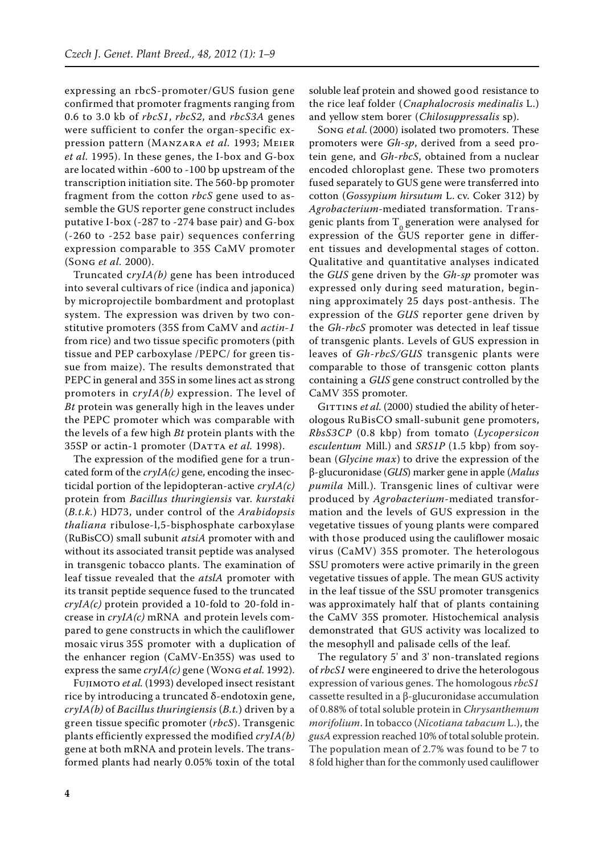expressing an rbcS-promoter/GUS fusion gene confirmed that promoter fragments ranging from 0.6 to 3.0 kb of *rbcS1*, *rbcS2*, and *rbcS3A* genes were sufficient to confer the organ-specific expression pattern (Manzara *et al.* 1993; Meier *et al.* 1995). In these genes, the I-box and G-box are located within -600 to -100 bp upstream of the transcription initiation site. The 560-bp promoter fragment from the cotton *rbcS* gene used to assemble the GUS reporter gene construct includes putative I-box (-287 to -274 base pair) and G-box (-260 to -252 base pair) sequences conferring expression comparable to 35S CaMV promoter (Song *et al.* 2000).

Truncated c*ryIA(b)* gene has been introduced into several cultivars of rice (indica and japonica) by microprojectile bombardment and protoplast system. The expression was driven by two constitutive promoters (35S from CaMV and *actin-1*  from rice) and two tissue specific promoters (pith tissue and PEP carboxylase /PEPC/ for green tissue from maize). The results demonstrated that PEPC in general and 35S in some lines act as strong promoters in c*ryIA(b)* expression. The level of *Bt* protein was generally high in the leaves under the PEPC promoter which was comparable with the levels of a few high *Bt* protein plants with the 35SP or actin-1 promoter (DATTA et al. 1998).

The expression of the modified gene for a truncated form of the *cryIA(c)* gene, encoding the insecticidal portion of the lepidopteran-active *cryIA(c)* protein from *Bacillus thuringiensis* var. *kurstaki* (*B.t.k.*) HD73, under control of the *Arabidopsis thaliana* ribulose-l,5-bisphosphate carboxylase (RuBisCO) small subunit *atsiA* promoter with and without its associated transit peptide was analysed in transgenic tobacco plants. The examination of leaf tissue revealed that the *atslA* promoter with its transit peptide sequence fused to the truncated *cryIA(c)* protein provided a 10-fold to 20-fold increase in *cryIA(c)* mRNA and protein levels compared to gene constructs in which the cauliflower mosaic virus 35S promoter with a duplication of the enhancer region (CaMV-En35S) was used to express the same *cryIA(c)* gene (Wong *et al.* 1992).

Fujimoto *et al.* (1993) developed insect resistant rice by introducing a truncated δ-endotoxin gene, *cryIA(b)* of *Bacillus thuringiensis* (*B.t.*) driven by a green tissue specific promoter (*rbcS*). Transgenic plants efficiently expressed the modified *cryIA(b)* gene at both mRNA and protein levels. The transformed plants had nearly 0.05% toxin of the total

soluble leaf protein and showed good resistance to the rice leaf folder (*Cnaphalocrosis medinalis* L.) and yellow stem borer (*Chilosuppressalis* sp).

Song *et al.* (2000) isolated two promoters. These promoters were *Gh-sp*, derived from a seed protein gene, and *Gh-rbcS*, obtained from a nuclear encoded chloroplast gene. These two promoters fused separately to GUS gene were transferred into cotton (*Gossypium hirsutum* L. cv. Coker 312) by *Agrobacterium-*mediated transformation. Transgenic plants from  $T_{0}$  generation were analysed for expression of the GUS reporter gene in different tissues and developmental stages of cotton. Qualitative and quantitative analyses indicated the *GUS* gene driven by the *Gh-sp* promoter was expressed only during seed maturation, beginning approximately 25 days post-anthesis. The expression of the *GUS* reporter gene driven by the *Gh-rbcS* promoter was detected in leaf tissue of transgenic plants. Levels of GUS expression in leaves of *Gh-rbcS/GUS* transgenic plants were comparable to those of transgenic cotton plants containing a *GUS* gene construct controlled by the CaMV 35S promoter.

GITTINS *et al.* (2000) studied the ability of heterologous RuBisCO small-subunit gene promoters, *RbsS3CP* (0.8 kbp) from tomato (*Lycopersicon esculentum* Mill.) and *SRS1P* (1.5 kbp) from soybean (*Glycine max*) to drive the expression of the β-glucuronidase (*GUS*) marker gene in apple (*Malus pumila* Mill.). Transgenic lines of cultivar were produced by *Agrobacterium*-mediated transformation and the levels of GUS expression in the vegetative tissues of young plants were compared with those produced using the cauliflower mosaic virus (CaMV) 35S promoter. The heterologous SSU promoters were active primarily in the green vegetative tissues of apple. The mean GUS activity in the leaf tissue of the SSU promoter transgenics was approximately half that of plants containing the CaMV 35S promoter. Histochemical analysis demonstrated that GUS activity was localized to the mesophyll and palisade cells of the leaf.

The regulatory 5' and 3' non-translated regions of *rbcS1* were engineered to drive the heterologous expression of various genes. The homologous *rbcS1* cassette resulted in a β-glucuronidase accumulation of 0.88% of total soluble protein in *Chrysanthemum morifolium*. In tobacco (*Nicotiana tabacum* L.), the *gusA* expression reached 10% of total soluble protein. The population mean of 2.7% was found to be 7 to 8 fold higher than for the commonly used cauliflower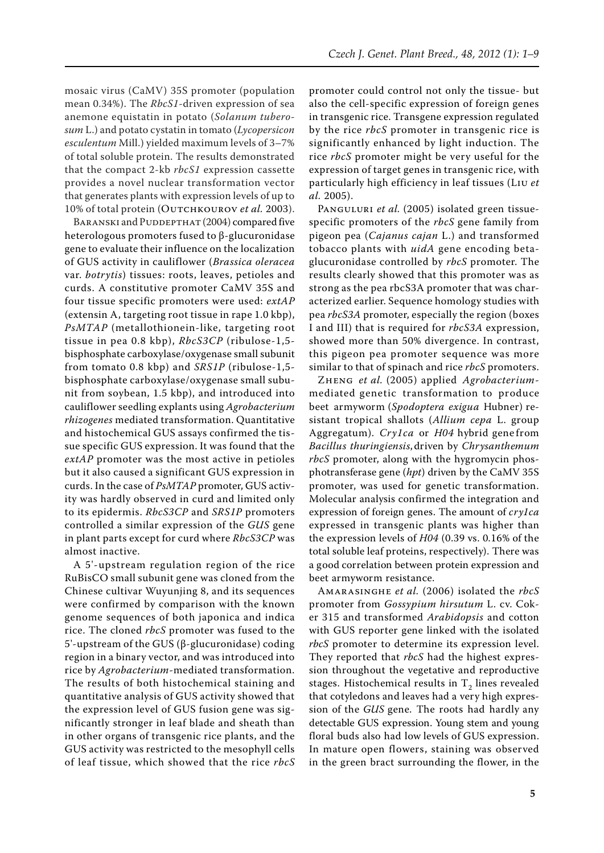mosaic virus (CaMV) 35S promoter (population mean 0.34%). The *RbcS1*-driven expression of sea anemone equistatin in potato (*Solanum tuberosum* L.) and potato cystatin in tomato (*Lycopersicon esculentum* Mill.) yielded maximum levels of 3–7% of total soluble protein. The results demonstrated that the compact 2-kb *rbcS1* expression cassette provides a novel nuclear transformation vector that generates plants with expression levels of up to 10% of total protein (ОUTCHKOUROV et al. 2003).

BARANSKI and PUDDEPTHAT (2004) compared five heterologous promoters fused to β-glucuronidase gene to evaluate their influence on the localization of GUS activity in cauliflower (*Brassica oleracea* var. *botrytis*) tissues: roots, leaves, petioles and curds. A constitutive promoter CaMV 35S and four tissue specific promoters were used: *extAP* (extensin A, targeting root tissue in rape 1.0 kbp), *PsMTAP* (metallothionein-like, targeting root tissue in pea 0.8 kbp), *RbcS3CP* (ribulose-1,5 bisphosphate carboxylase/oxygenase small subunit from tomato 0.8 kbp) and *SRS1P* (ribulose-1,5 bisphosphate carboxylase/oxygenase small subunit from soybean, 1.5 kbp), and introduced into cauliflower seedling explants using *Agrobacterium rhizogenes* mediated transformation. Quantitative and histochemical GUS assays confirmed the tissue specific GUS expression. It was found that the *extAP* promoter was the most active in petioles but it also caused a significant GUS expression in curds. In the case of *PsMTAP* promoter, GUS activity was hardly observed in curd and limited only to its epidermis. *RbcS3CP* and *SRS1P* promoters controlled a similar expression of the *GUS* gene in plant parts except for curd where *RbcS3CP* was almost inactive.

A 5'-upstream regulation region of the rice RuBisCO small subunit gene was cloned from the Chinese cultivar Wuyunjing 8, and its sequences were confirmed by comparison with the known genome sequences of both japonica and indica rice. The cloned *rbcS* promoter was fused to the 5'-upstream of the GUS (β-glucuronidase) coding region in a binary vector, and was introduced into rice by *Agrobacterium*-mediated transformation. The results of both histochemical staining and quantitative analysis of GUS activity showed that the expression level of GUS fusion gene was significantly stronger in leaf blade and sheath than in other organs of transgenic rice plants, and the GUS activity was restricted to the mesophyll cells of leaf tissue, which showed that the rice *rbcS* promoter could control not only the tissue- but also the cell-specific expression of foreign genes in transgenic rice. Transgene expression regulated by the rice *rbcS* promoter in transgenic rice is significantly enhanced by light induction. The rice *rbcS* promoter might be very useful for the expression of target genes in transgenic rice, with particularly high efficiency in leaf tissues (Liu *et al.* 2005).

PANGULURI *et al.* (2005) isolated green tissuespecific promoters of the *rbcS* gene family from pigeon pea (*Cajanus cajan* L.) and transformed tobacco plants with *uidA* gene encoding betaglucuronidase controlled by *rbcS* promoter. The results clearly showed that this promoter was as strong as the pea rbcS3A promoter that was characterized earlier. Sequence homology studies with pea *rbcS3A* promoter, especially the region (boxes I and III) that is required for *rbcS3A* expression, showed more than 50% divergence. In contrast, this pigeon pea promoter sequence was more similar to that of spinach and rice *rbcS* promoters.

Zheng *et al.* (2005) applied *Agrobacterium*mediated genetic transformation to produce beet armyworm (*Spodoptera exigua* Hubner) resistant tropical shallots (*Allium cepa* L. group Aggregatum). *Cry1ca* or *H04* hybrid gene from *Bacillus thuringiensis*, driven by *Chrysanthemum rbcS* promoter, along with the hygromycin phosphotransferase gene (*hpt*) driven by the CaMV 35S promoter, was used for genetic transformation. Molecular analysis confirmed the integration and expression of foreign genes. The amount of *cry1ca* expressed in transgenic plants was higher than the expression levels of *H04* (0.39 vs. 0.16% of the total soluble leaf proteins, respectively). There was a good correlation between protein expression and beet armyworm resistance.

Amarasinghe *et al.* (2006) isolated the *rbcS* promoter from *Gossypium hirsutum* L. cv. Coker 315 and transformed *Arabidopsis* and cotton with GUS reporter gene linked with the isolated *rbcS* promoter to determine its expression level. They reported that *rbcS* had the highest expression throughout the vegetative and reproductive stages. Histochemical results in  $T<sub>2</sub>$  lines revealed that cotyledons and leaves had a very high expression of the *GUS* gene. The roots had hardly any detectable GUS expression. Young stem and young floral buds also had low levels of GUS expression. In mature open flowers, staining was observed in the green bract surrounding the flower, in the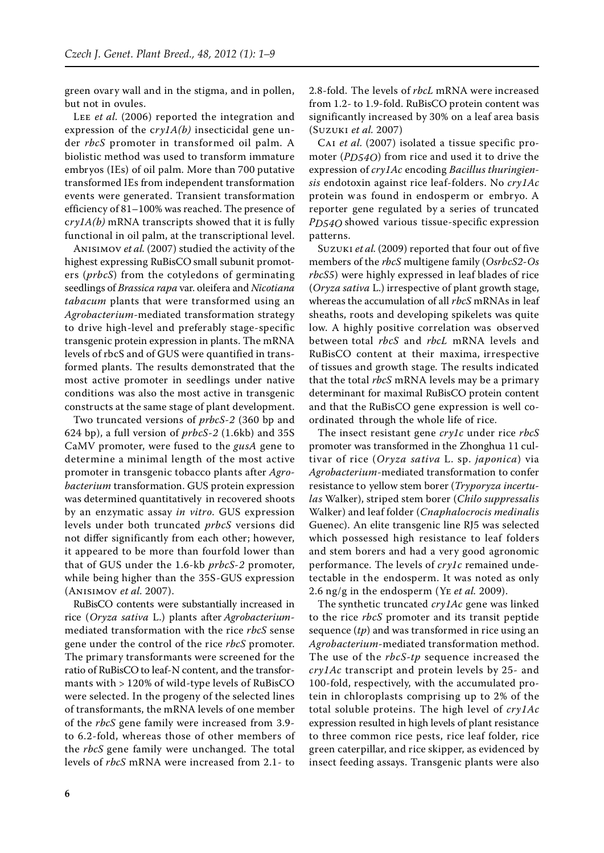green ovary wall and in the stigma, and in pollen, but not in ovules.

LEE *et al.* (2006) reported the integration and expression of the c*ry1A(b)* insecticidal gene under *rbcS* promoter in transformed oil palm. A biolistic method was used to transform immature embryos (IEs) of oil palm. More than 700 putative transformed IEs from independent transformation events were generated. Transient transformation efficiency of 81–100% was reached. The presence of c*ry1A(b)* mRNA transcripts showed that it is fully functional in oil palm, at the transcriptional level.

ANISIMOV *et al.* (2007) studied the activity of the highest expressing RuBisCO small subunit promoters (*prbcS*) from the cotyledons of germinating seedlings of *Brassica rapa* var. oleifera and *Nicotiana tabacum* plants that were transformed using an *Agrobacterium*-mediated transformation strategy to drive high-level and preferably stage-specific transgenic protein expression in plants. The mRNA levels of rbcS and of GUS were quantified in transformed plants. The results demonstrated that the most active promoter in seedlings under native conditions was also the most active in transgenic constructs at the same stage of plant development.

Two truncated versions of *prbcS-2* (360 bp and 624 bp), a full version of *prbcS-2* (1.6kb) and 35S CaMV promoter, were fused to the *gusA* gene to determine a minimal length of the most active promoter in transgenic tobacco plants after *Agrobacterium* transformation. GUS protein expression was determined quantitatively in recovered shoots by an enzymatic assay *in vitro*. GUS expression levels under both truncated *prbcS* versions did not differ significantly from each other; however, it appeared to be more than fourfold lower than that of GUS under the 1.6-kb *prbcS-2* promoter, while being higher than the 35S-GUS expression (Anisimov *et al.* 2007).

RuBisCO contents were substantially increased in rice (*Oryza sativa* L.) plants after *Agrobacterium*mediated transformation with the rice *rbcS* sense gene under the control of the rice *rbcS* promoter. The primary transformants were screened for the ratio of RuBisCO to leaf-N content, and the transformants with > 120% of wild-type levels of RuBisCO were selected. In the progeny of the selected lines of transformants, the mRNA levels of one member of the *rbcS* gene family were increased from 3.9 to 6.2-fold, whereas those of other members of the *rbcS* gene family were unchanged. The total levels of *rbcS* mRNA were increased from 2.1- to 2.8-fold. The levels of *rbcL* mRNA were increased from 1.2- to 1.9-fold. RuBisCO protein content was significantly increased by 30% on a leaf area basis (Suzuki *et al.* 2007)

Cai *et al.* (2007) isolated a tissue specific promoter (*PD54O*) from rice and used it to drive the expression of *cry1Ac* encoding *Bacillus thuringiensis* endotoxin against rice leaf-folders. No *cry1Ac*  protein was found in endosperm or embryo. A reporter gene regulated by a series of truncated *PD54O* showed various tissue-specific expression patterns.

Suzuki *et al.* (2009) reported that four out of five members of the *rbcS* multigene family (*OsrbcS2-Os rbcS5*) were highly expressed in leaf blades of rice (*Oryza sativa* L.) irrespective of plant growth stage, whereas the accumulation of all *rbcS* mRNAs in leaf sheaths, roots and developing spikelets was quite low. A highly positive correlation was observed between total *rbcS* and *rbcL* mRNA levels and RuBisCO content at their maxima, irrespective of tissues and growth stage. The results indicated that the total *rbcS* mRNA levels may be a primary determinant for maximal RuBisCO protein content and that the RuBisCO gene expression is well coordinated through the whole life of rice.

The insect resistant gene *cry1c* under rice *rbcS* promoter was transformed in the Zhonghua 11 cultivar of rice (*Oryza sativa* L. sp. *japonica*) via *Agrobacterium*-mediated transformation to confer resistance to yellow stem borer (*Tryporyza incertulas* Walker), striped stem borer (*Chilo suppressalis*  Walker) and leaf folder (*Cnaphalocrocis medinalis*  Guenec). An elite transgenic line RJ5 was selected which possessed high resistance to leaf folders and stem borers and had a very good agronomic performance. The levels of *cry1c* remained undetectable in the endosperm. It was noted as only 2.6 ng/g in the endosperm (Ye *et al.* 2009).

The synthetic truncated *cry1Ac* gene was linked to the rice *rbcS* promoter and its transit peptide sequence (*tp*) and was transformed in rice using an *Agrobacterium*-mediated transformation method. The use of the *rbcS-tp* sequence increased the *cry1Ac* transcript and protein levels by 25- and 100-fold, respectively, with the accumulated protein in chloroplasts comprising up to 2% of the total soluble proteins. The high level of *cry1Ac*  expression resulted in high levels of plant resistance to three common rice pests, rice leaf folder, rice green caterpillar, and rice skipper, as evidenced by insect feeding assays. Transgenic plants were also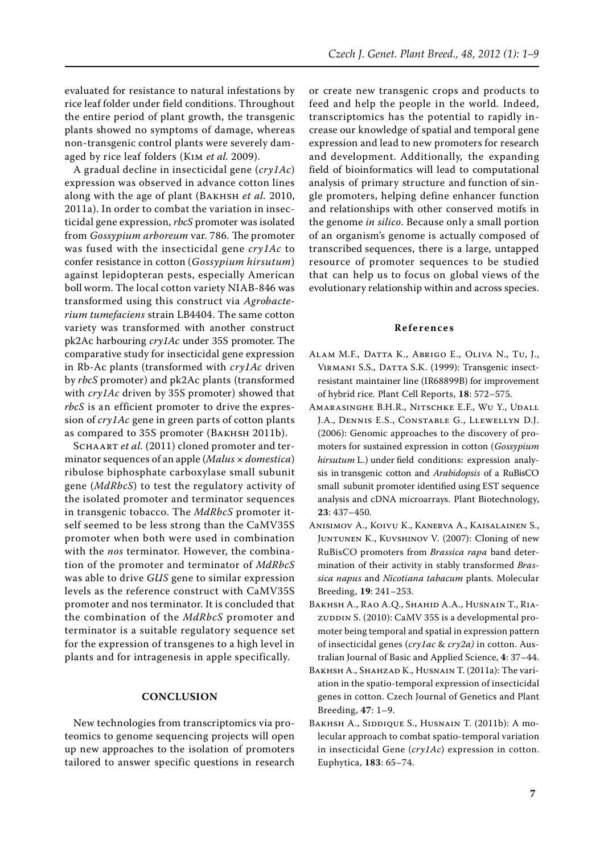evaluated for resistance to natural infestations by rice leaf folder under field conditions. Throughout the entire period of plant growth, the transgenic plants showed no symptoms of damage, whereas non-transgenic control plants were severely damaged by rice leaf folders (Kim *et al.* 2009).

A gradual decline in insecticidal gene (*cry1Ac*) expression was observed in advance cotton lines along with the age of plant (Bakhsh *et al.* 2010, 2011a). In order to combat the variation in insecticidal gene expression, *rbcS* promoter was isolated from *Gossypium arboreum* var. 786. The promoter was fused with the insecticidal gene *cry1Ac* to confer resistance in cotton (*Gossypium hirsutum*) against lepidopteran pests, especially American boll worm. The local cotton variety NIAB-846 was transformed using this construct via *Agrobacterium tumefaciens* strain LB4404. The same cotton variety was transformed with another construct pk2Ac harbouring *cry1Ac* under 35S promoter. The comparative study for insecticidal gene expression in Rb-Ac plants (transformed with *cry1Ac* driven by *rbcS* promoter) and pk2Ac plants (transformed with *cry1Ac* driven by 35S promoter) showed that *rbcS* is an efficient promoter to drive the expression of *cry1Ac* gene in green parts of cotton plants as compared to 35S promoter (Bakhsh 2011b).

SCHAART *et al.* (2011) cloned promoter and terminator sequences of an apple (*Malus* × *domestica*) ribulose biphosphate carboxylase small subunit gene (*MdRbcS*) to test the regulatory activity of the isolated promoter and terminator sequences in transgenic tobacco. The *MdRbcS* promoter itself seemed to be less strong than the CaMV35S promoter when both were used in combination with the *nos* terminator. However, the combination of the promoter and terminator of *MdRbcS* was able to drive *GUS* gene to similar expression levels as the reference construct with CaMV35S promoter and nos terminator. It is concluded that the combination of the *MdRbcS* promoter and terminator is a suitable regulatory sequence set for the expression of transgenes to a high level in plants and for intragenesis in apple specifically.

### **CONCLUSION**

New technologies from transcriptomics via proteomics to genome sequencing projects will open up new approaches to the isolation of promoters tailored to answer specific questions in research or create new transgenic crops and products to feed and help the people in the world. Indeed, transcriptomics has the potential to rapidly increase our knowledge of spatial and temporal gene expression and lead to new promoters for research and development. Additionally, the expanding field of bioinformatics will lead to computational analysis of primary structure and function of single promoters, helping define enhancer function and relationships with other conserved motifs in the genome *in silico*. Because only a small portion of an organism's genome is actually composed of transcribed sequences, there is a large, untapped resource of promoter sequences to be studied that can help us to focus on global views of the evolutionary relationship within and across species.

### **References**

- Alam M.F., Datta K., Abrigo E., Oliva N., Tu, J., VIRMANI S.S., DATTA S.K. (1999): Transgenic insectresistant maintainer line (IR68899B) for improvement of hybrid rice. Plant Cell Reports, **18**: 572–575.
- Amarasinghe B.H.R., Nitschke E.F., Wu Y., Udall J.A., Dennis E.S., Constable G., Llewellyn D.J. (2006): Genomic approaches to the discovery of promoters for sustained expression in cotton (*Gossypium hirsutum* L.) under field conditions: expression analysis in transgenic cotton and *Arabidopsis* of a RuBisCO small subunit promoter identified using EST sequence analysis and cDNA microarrays. Plant Biotechnology, **23**: 437–450.
- Anisimov A., Koivu K., Kanerva A., Kaisalainen S., Juntunen K., Kuvshinov V. (2007): Cloning of new RuBisCO promoters from *Brassica rapa* band determination of their activity in stably transformed *Brassica napus* and *Nicotiana tabacum* plants. Molecular Breeding, **19**: 241–253.
- Bakhsh A., Rao A.Q., Shahid A.A., Husnain T., Riazuddin S. (2010): CaMV 35S is a developmental promoter being temporal and spatial in expression pattern of insecticidal genes (*cry1ac* & *cry2a)* in cotton. Australian Journal of Basic and Applied Science, **4**: 37–44.
- Bakhsh A., Shahzad K., Husnain T. (2011a): The variation in the spatio-temporal expression of insecticidal genes in cotton. Czech Journal of Genetics and Plant Breeding, **47**: 1–9.
- BAKHSH A., SIDDIQUE S., HUSNAIN T. (2011b): A molecular approach to combat spatio-temporal variation in insecticidal Gene (*cry1Ac*) expression in cotton. Euphytica, **183**: 65–74.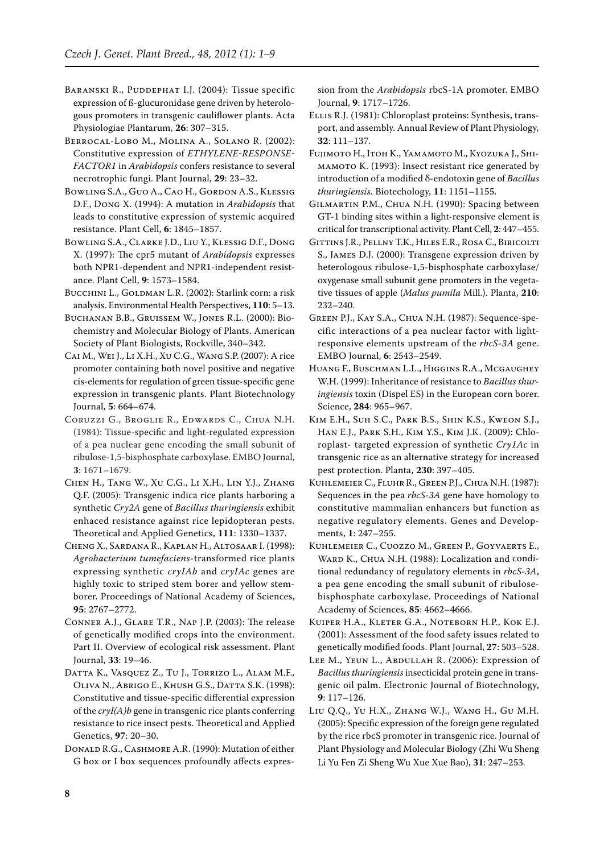- BARANSKI R., PUDDEPHAT I.J. (2004): Tissue specific expression of ß-glucuronidase gene driven by heterologous promoters in transgenic cauliflower plants. Acta Physiologiae Plantarum, **26**: 307–315.
- Berrocal-Lobo M., Molina A., Solano R. (2002): Constitutive expression of *Ethylene-Response-Factor1* in *Arabidopsis* confers resistance to several necrotrophic fungi. Plant Journal, **29**: 23–32.
- Bowling S.A., Guo A., Cao H., Gordon A.S., Klessig D.F., Dong X. (1994): A mutation in *Arabidopsis* that leads to constitutive expression of systemic acquired resistance. Plant Cell, **6**: 1845–1857.
- Bowling S.A., Clarke J.D., Liu Y., Klessig D.F., Dong X. (1997): The cpr5 mutant of *Arabidopsis* expresses both NPR1-dependent and NPR1-independent resistance. Plant Cell, **9**: 1573–1584.
- BUCCHINI L., GOLDMAN L.R. (2002): Starlink corn: a risk analysis. Environmental Health Perspectives, **110**: 5–13.
- Buchanan B.B., Gruissem W., Jones R.L. (2000): Biochemistry and Molecular Biology of Plants. American Society of Plant Biologists, Rockville, 340–342.
- Cai M., Wei J., Li X.H., Xu C.G., Wang S.P. (2007): A rice promoter containing both novel positive and negative cis-elements for regulation of green tissue-specific gene expression in transgenic plants. Plant Biotechnology Journal, **5**: 664–674.
- Coruzzi G., Broglie R., Edwards C., Chua N.H. (1984): Tissue-specific and light-regulated expression of a pea nuclear gene encoding the small subunit of ribulose-1,5-bisphosphate carboxylase. EMBO Journal, **3**: 1671–1679.
- Chen H., Tang W., Xu C.G., Li X.H., Lin Y.J., Zhang Q.F. (2005): Transgenic indica rice plants harboring a synthetic *Cry2A* gene of *Bacillus thuringiensis* exhibit enhaced resistance against rice lepidopteran pests. Theoretical and Applied Genetics, **111**: 1330–1337.
- Cheng X., Sardana R., Kaplan H., Altosaar I. (1998): *Agrobacterium tumefaciens*-transformed rice plants expressing synthetic *cryIAb* and *cryIAc* genes are highly toxic to striped stem borer and yellow stemborer. Proceedings of National Academy of Sciences, **95**: 2767–2772.
- Conner A.J., Glare T.R., Nap J.P. (2003): The release of genetically modified crops into the environment. Part II. Overview of ecological risk assessment. Plant Journal, **33**: 19–46.
- Datta K., Vasquez Z., Tu J., Torrizo L., Alam M.F., Oliva N., Abrigo E., Khush G.S., Datta S.K. (1998): Constitutive and tissue-specific differential expression of the *cryI(A)b* gene in transgenic rice plants conferring resistance to rice insect pests. Theoretical and Applied Genetics, **97**: 20–30.
- Donald R.G., Cashmore A.R. (1990): Mutation of either G box or I box sequences profoundly affects expres-

sion from the *Arabidopsis* rbcS-1A promoter. EMBO Journal, **9**: 1717–1726.

- Ellis R.J. (1981): Chloroplast proteins: Synthesis, transport, and assembly. Annual Review of Plant Physiology, **32**: 111–137.
- Fujimoto H., Itoh K., Yamamoto M., Kyozuka J., Shimamoto K. (1993): Insect resistant rice generated by introduction of a modified δ-endotoxin gene of *Bacillus thuringiensis.* Biotechology, **11**: 1151–1155.
- Gilmartin P.M., Chua N.H. (1990): Spacing between GT-1 binding sites within a light-responsive element is critical for transcriptional activity. Plant Cell, **2**: 447–455.
- Gittins J.R., Pellny T.K., Hiles E.R., Rosa C., Biricolti S., James D.J. (2000): Transgene expression driven by heterologous ribulose-1,5-bisphosphate carboxylase/ oxygenase small subunit gene promoters in the vegetative tissues of apple (*Malus pumila* Mill.). Planta, **210**: 232–240.
- Green P.J., Kay S.A., Chua N.H. (1987): Sequence-specific interactions of a pea nuclear factor with lightresponsive elements upstream of the *rbcS-3A* gene. EMBO Journal, **6**: 2543–2549.
- Huang F., Buschman L.L., Higgins R.A., Mcgaughey W.H. (1999): Inheritance of resistance to *Bacillus thuringiensis* toxin (Dispel ES) in the European corn borer. Science, **284**: 965–967.
- Kim E.H., Suh S.C., Park B.S., Shin K.S., Kweon S.J., Han E.J., Park S.H., Kim Y.S., Kim J.K. (2009): Chloroplast- targeted expression of synthetic *Cry1Ac* in transgenic rice as an alternative strategy for increased pest protection. Planta, **230**: 397–405.
- Kuhlemeier C., Fluhr R., Green P.J., Chua N.H. (1987): Sequences in the pea *rbcS-3A* gene have homology to constitutive mammalian enhancers but function as negative regulatory elements. Genes and Developments, **1**: 247–255.
- Kuhlemeier C., Cuozzo M., Green P., Goyvaerts E., WARD K., CHUA N.H. (1988): Localization and conditional redundancy of regulatory elements in *rbcS-3A*, a pea gene encoding the small subunit of ribulosebisphosphate carboxylase. Proceedings of National Academy of Sciences, **85**: 4662–4666.
- Kuiper H.A., Kleter G.A., Noteborn H.P., Kok E.J. (2001): Assessment of the food safety issues related to genetically modified foods. Plant Journal, **27**: 503–528.
- Lee M., Yeun L., Abdullah R. (2006): Expression of *Bacillus thuringiensis* insecticidal protein gene in transgenic oil palm. Electronic Journal of Biotechnology, **9**: 117–126.
- Liu Q.Q., Yu H.X., Zhang W.J., Wang H., Gu M.H. (2005): Specific expression of the foreign gene regulated by the rice rbcS promoter in transgenic rice. Journal of Plant Physiology and Molecular Biology (Zhi Wu Sheng Li Yu Fen Zi Sheng Wu Xue Xue Bao), **31**: 247–253.